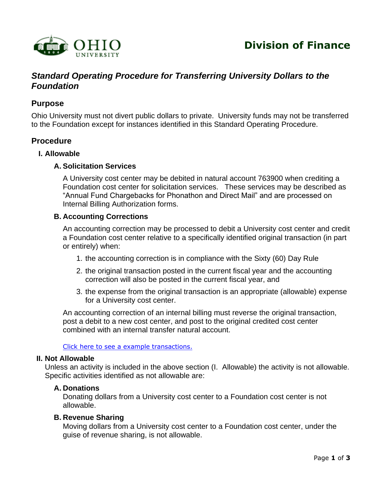

# *Standard Operating Procedure for Transferring University Dollars to the Foundation*

## **Purpose**

Ohio University must not divert public dollars to private. University funds may not be transferred to the Foundation except for instances identified in this Standard Operating Procedure.

## **Procedure**

#### **I. Allowable**

#### **A. Solicitation Services**

A University cost center may be debited in natural account 763900 when crediting a Foundation cost center for solicitation services. These services may be described as "Annual Fund Chargebacks for Phonathon and Direct Mail" and are processed on Internal Billing Authorization forms.

#### **B. Accounting Corrections**

An accounting correction may be processed to debit a University cost center and credit a Foundation cost center relative to a specifically identified original transaction (in part or entirely) when:

- <span id="page-0-0"></span>1. the accounting correction is in compliance with the Sixty (60) Day Rule
- 2. the original transaction posted in the current fiscal year and the accounting correction will also be posted in the current fiscal year, and
- 3. the expense from the original transaction is an appropriate (allowable) expense for a University cost center.

An accounting correction of an internal billing must reverse the original transaction, post a debit to a new cost center, and post to the original credited cost center combined with an internal transfer natural account.

[Click here to see a example](#page-1-0) transactions.

#### **II. Not Allowable**

Unless an activity is included in the above section (I. Allowable) the activity is not allowable. Specific activities identified as not allowable are:

#### **A. Donations**

Donating dollars from a University cost center to a Foundation cost center is not allowable.

#### **B. Revenue Sharing**

Moving dollars from a University cost center to a Foundation cost center, under the guise of revenue sharing, is not allowable.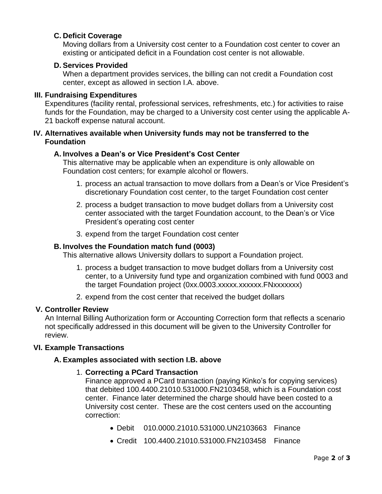## **C. Deficit Coverage**

Moving dollars from a University cost center to a Foundation cost center to cover an existing or anticipated deficit in a Foundation cost center is not allowable.

## **D. Services Provided**

When a department provides services, the billing can not credit a Foundation cost center, except as allowed in section I.A. above.

### **III. Fundraising Expenditures**

Expenditures (facility rental, professional services, refreshments, etc.) for activities to raise funds for the Foundation, may be charged to a University cost center using the applicable A-21 backoff expense natural account.

### **IV. Alternatives available when University funds may not be transferred to the Foundation**

### **A. Involves a Dean's or Vice President's Cost Center**

This alternative may be applicable when an expenditure is only allowable on Foundation cost centers; for example alcohol or flowers.

- 1. process an actual transaction to move dollars from a Dean's or Vice President's discretionary Foundation cost center, to the target Foundation cost center
- 2. process a budget transaction to move budget dollars from a University cost center associated with the target Foundation account, to the Dean's or Vice President's operating cost center
- 3. expend from the target Foundation cost center

### **B. Involves the Foundation match fund (0003)**

This alternative allows University dollars to support a Foundation project.

- 1. process a budget transaction to move budget dollars from a University cost center, to a University fund type and organization combined with fund 0003 and the target Foundation project (0xx.0003.xxxxx.xxxxxx.FNxxxxxxx)
- 2. expend from the cost center that received the budget dollars

#### **V. Controller Review**

An Internal Billing Authorization form or Accounting Correction form that reflects a scenario not specifically addressed in this document will be given to the University Controller for review.

## **VI. Example Transactions**

## **A. Examples associated with section I.B. above**

## 1. **Correcting a PCard Transaction**

<span id="page-1-0"></span>Finance approved a PCard transaction (paying Kinko's for copying services) that debited 100.4400.21010.531000.FN2103458, which is a Foundation cost center. Finance later determined the charge should have been costed to a University cost center. These are the cost centers used on the accounting correction:

- Debit 010.0000.21010.531000.UN2103663 Finance
- Credit 100.4400.21010.531000.FN2103458 Finance